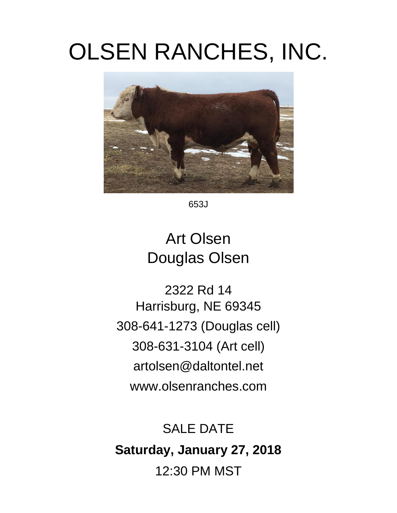# OLSEN RANCHES, INC.



653J

## Art Olsen Douglas Olsen

2322 Rd 14 Harrisburg, NE 69345 308-641-1273 (Douglas cell) 308-631-3104 (Art cell) artolsen@daltontel.net www.olsenranches.com

# SALE DATE **Saturday, January 27, 2018** 12:30 PM MST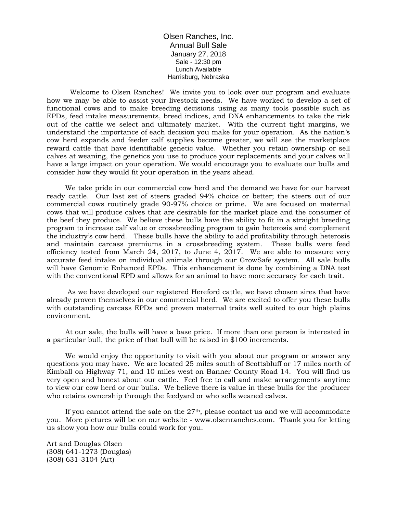Olsen Ranches, Inc. Annual Bull Sale January 27, 2018 Sale - 12:30 pm Lunch Available Harrisburg, Nebraska

Welcome to Olsen Ranches! We invite you to look over our program and evaluate how we may be able to assist your livestock needs. We have worked to develop a set of functional cows and to make breeding decisions using as many tools possible such as EPDs, feed intake measurements, breed indices, and DNA enhancements to take the risk out of the cattle we select and ultimately market. With the current tight margins, we understand the importance of each decision you make for your operation. As the nation's cow herd expands and feeder calf supplies become greater, we will see the marketplace reward cattle that have identifiable genetic value. Whether you retain ownership or sell calves at weaning, the genetics you use to produce your replacements and your calves will have a large impact on your operation. We would encourage you to evaluate our bulls and consider how they would fit your operation in the years ahead.

We take pride in our commercial cow herd and the demand we have for our harvest ready cattle. Our last set of steers graded 94% choice or better; the steers out of our commercial cows routinely grade 90-97% choice or prime. We are focused on maternal cows that will produce calves that are desirable for the market place and the consumer of the beef they produce. We believe these bulls have the ability to fit in a straight breeding program to increase calf value or crossbreeding program to gain heterosis and complement the industry's cow herd. These bulls have the ability to add profitability through heterosis and maintain carcass premiums in a crossbreeding system. These bulls were feed efficiency tested from March 24, 2017, to June 4, 2017. We are able to measure very accurate feed intake on individual animals through our GrowSafe system. All sale bulls will have Genomic Enhanced EPDs. This enhancement is done by combining a DNA test with the conventional EPD and allows for an animal to have more accuracy for each trait.

As we have developed our registered Hereford cattle, we have chosen sires that have already proven themselves in our commercial herd. We are excited to offer you these bulls with outstanding carcass EPDs and proven maternal traits well suited to our high plains environment.

At our sale, the bulls will have a base price. If more than one person is interested in a particular bull, the price of that bull will be raised in \$100 increments.

We would enjoy the opportunity to visit with you about our program or answer any questions you may have. We are located 25 miles south of Scottsbluff or 17 miles north of Kimball on Highway 71, and 10 miles west on Banner County Road 14. You will find us very open and honest about our cattle. Feel free to call and make arrangements anytime to view our cow herd or our bulls. We believe there is value in these bulls for the producer who retains ownership through the feedyard or who sells weaned calves.

If you cannot attend the sale on the  $27<sup>th</sup>$ , please contact us and we will accommodate you. More pictures will be on our website - www.olsenranches.com. Thank you for letting us show you how our bulls could work for you.

Art and Douglas Olsen (308) 641-1273 (Douglas) (308) 631-3104 (Art)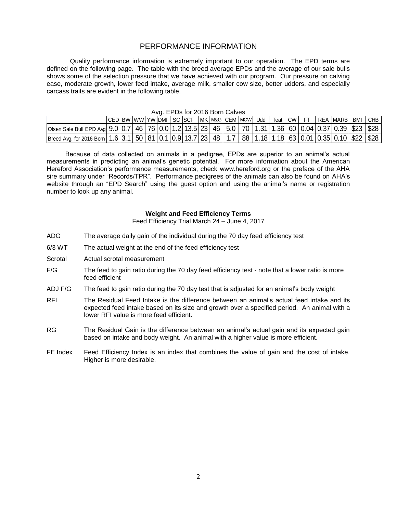#### PERFORMANCE INFORMATION

Quality performance information is extremely important to our operation. The EPD terms are defined on the following page. The table with the breed average EPDs and the average of our sale bulls shows some of the selection pressure that we have achieved with our program. Our pressure on calving ease, moderate growth, lower feed intake, average milk, smaller cow size, better udders, and especially carcass traits are evident in the following table.

| carcass traits are evident in the following table.<br>Avg. EPDs for 2016 Born Calves<br>CED BW WW YW DMI SC SCF MK M&G CEM MCW<br>REA IMARBI<br>$\mathsf{ICW}$ |  |  |  |  |  |  |  |  |  |  |  |     |        |  |     |  |       |            |
|----------------------------------------------------------------------------------------------------------------------------------------------------------------|--|--|--|--|--|--|--|--|--|--|--|-----|--------|--|-----|--|-------|------------|
|                                                                                                                                                                |  |  |  |  |  |  |  |  |  |  |  |     |        |  |     |  |       |            |
|                                                                                                                                                                |  |  |  |  |  |  |  |  |  |  |  |     |        |  |     |  |       |            |
|                                                                                                                                                                |  |  |  |  |  |  |  |  |  |  |  |     |        |  |     |  |       |            |
|                                                                                                                                                                |  |  |  |  |  |  |  |  |  |  |  | Udd | Teat I |  | FT. |  | BMI I | <b>CHB</b> |
| Olsen Sale Bull EPD Avg  9.0   0.7   46   76   0.0   1.2   13.5   23   46   5.0   70   1.31   1.36   60   0.04   0.37   0.39   \$23   \$28                     |  |  |  |  |  |  |  |  |  |  |  |     |        |  |     |  |       |            |
| Breed Avg. for 2016 Born   1.6   3.1   50   81   0.1   0.9   13.7   23   48   1.7   88   1.18   1.18   63   0.01   0.35   0.10   \$22   \$28                   |  |  |  |  |  |  |  |  |  |  |  |     |        |  |     |  |       |            |

Because of data collected on animals in a pedigree, EPDs are superior to an animal's actual measurements in predicting an animal's genetic potential. For more information about the American Hereford Association's performance measurements, check www.hereford.org or the preface of the AHA sire summary under "Records/TPR". Performance pedigrees of the animals can also be found on AHA's website through an "EPD Search" using the guest option and using the animal's name or registration number to look up any animal.

#### **Weight and Feed Efficiency Terms**

Feed Efficiency Trial March 24 – June 4, 2017

- ADG The average daily gain of the individual during the 70 day feed efficiency test
- 6/3 WT The actual weight at the end of the feed efficiency test
- Scrotal Actual scrotal measurement
- F/G The feed to gain ratio during the 70 day feed efficiency test note that a lower ratio is more feed efficient
- ADJ F/G The feed to gain ratio during the 70 day test that is adjusted for an animal's body weight
- RFI The Residual Feed Intake is the difference between an animal's actual feed intake and its expected feed intake based on its size and growth over a specified period. An animal with a lower RFI value is more feed efficient.
- RG The Residual Gain is the difference between an animal's actual gain and its expected gain based on intake and body weight. An animal with a higher value is more efficient.
- FE Index Feed Efficiency Index is an index that combines the value of gain and the cost of intake. Higher is more desirable.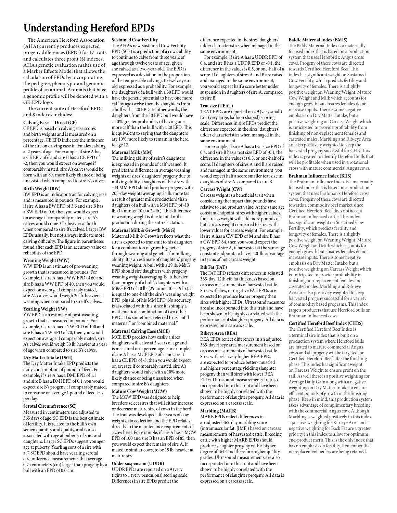### **Understanding Hereford EPDs**

The American Hereford Association (AHA) currently produces expected progeny differences (EPDs) for 17 traits and calculates three profit (\$) indexes. AHA's genetic evaluation makes use of a Marker Effects Model that allows the calculation of EPDs by incorporating the pedigree, phenotypic and genomic profile of an animal. Animals that have a genomic profile will be denoted with a GE-EPD logo.

The current suite of Hereford EPDs and \$ indexes includes:

#### **Calving Ease — Direct (CE)**

CE EPD is based on calving ease scores and birth weights and is measured on a percentage. CE EPD indicates the influence of the sire on calving ease in females calving at 2 years of age. For example, if sire A has a CE EPD of 6 and sire B has a CE EPD of -2, then you would expect on average if comparably mated, sire A's calves would be born with an 8% more likely chance of being unassisted when compared to sire B's calves.

#### **Birth Weight (BW)**

BW EPD is an indicator trait for calving ease and is measured in pounds. For example, if sire A has a BW EPD of 3.6 and sire B has a BW EPD of 0.6, then you would expect on average if comparably mated, sire A's calves would come 3 lb. heavier at birth when compared to sire B's calves. Larger BW EPDs usually, but not always, indicate more calving difficulty. The figure in parentheses found after each EPD is an accuracy value or reliability of the EPD.

#### **Weaning Weight (WW)**

WW EPD is an estimate of pre-weaning growth that is measured in pounds. For example, if sire A has a WW EPD of 60 and sire B has a WW EPD of 40, then you would expect on average if comparably mated, sire A's calves would weigh 20 lb. heavier at weaning when compared to sire B's calves.

#### **Yearling Weight (YW)**

YW EPD is an estimate of post-weaning growth that is measured in pounds. For example, if sire A has a YW EPD of 100 and sire B has a YW EPD of 70, then you would expect on average if comparably mated, sire A's calves would weigh 30 lb. heavier at a year of age when compared to sire B's calves.

#### **Dry Matter Intake (DMI)**

The Dry Matter Intake EPD predicts the daily consumption of pounds of feed. For example, if sire A has a DMI EPD of 1.1 and sire B has a DMI EPD of 0.1, you would expect sire B's progeny, if comparably mated, to consume on average 1 pound of feed less per day.

#### **Scrotal Circumference (SC)**

Measured in centimeters and adjusted to 365 days of age, SC EPD is the best estimate of fertility. It is related to the bull's own semen quantity and quality, and is also associated with age at puberty of sons and daughters. Larger SC EPDs suggest younger age at puberty. Yearling sons of a sire with a .7 SC EPD should have yearling scrotal circumference measurements that average 0.7 centimeters (cm) larger than progeny by a bull with an EPD of 0.0 cm.

#### **Sustained Cow Fertility**

The AHA's new Sustained Cow Fertility EPD (SCF) is a prediction of a cow's ability to continue to calve from three years of age through twelve years of age, given she calved as a two-year-old. The EPD is expressed as a deviation in the proportion of the ten-possible calving's to twelve years old expressed as a probability. For example, the daughters of a bull with a 30 EPD would have the genetic potential to have one more calf by age twelve then the daughters from a bull with a 20 EPD. In other words, the daughters from the 30 EPD bull would have a 10% greater probability of having one more calf than the bull with a 20 EPD. This is equivalent to saying that the daughters are 10% more likely to remain in the herd to age 12.

#### **Maternal Milk (MM)**

The milking ability of a sire's daughters is expressed in pounds of calf weaned. It predicts the difference in average weaning weights of sires' daughters' progeny due to milking ability. Daughters of the sire with a +14 MM EPD should produce progeny with 205-day weights averaging 24 lb. more (as a result of greater milk production) than daughters of a bull with a MM EPD of -10 lb.  $(14 \text{ minus } -10.0 = 24 \text{ lb.})$ . This difference in weaning weight is due to total milk production during the entire lactation.

#### **Maternal Milk & Growth (M&G)**

Maternal Milk & Growth reflects what the sire is expected to transmit to his daughters for a combination of growth genetics through weaning and genetics for milking ability. It is an estimate of daughters' progeny weaning weight. A bull with a 29 lb. M&G EPD should sire daughters with progeny weaning weights averaging 19 lb. heavier than progeny of a bull's daughters with a M&G EPD of 10 lb. (29 minus  $10 = 19$  lb.). It is equal to one-half the sire's weaning weight EPD, plus all of his MM EPD. No accuracy is associated with this since it is simply a mathematical combination of two other EPDs. It is sometimes referred to as "total maternal" or "combined maternal."

#### **Maternal Calving Ease (MCE)**

MCE EPD predicts how easily a sires daughters will calve at 2 years of age and is measured on a percentage. For example, if sire A has a MCE EPD of 7 and sire B has a CE EPD of -3, then you would expect on average if comparably mated, sire A's daughters would calve with a 10% more likely chance of being unassisted when compared to sire B's daughters.

#### **Mature Cow Weight (MCW)**

The MCW EPD was designed to help breeders select sires that will either increase or decrease mature size of cows in the herd. The trait was developed after years of cow weight data collection and the EPD relates directly to the maintenance requirements of a cow herd. For example, if sire A has a MCW EPD of 100 and sire B has an EPD of 85, then you would expect the females of sire A, if mated to similar cows, to be 15 lb. heavier at mature size.

#### **Udder suspension (UDDR)**

UDDR EPDs are reported on a 9 (very tight) to 1 (very pendulous) scoring scale. Differences in sire EPDs predict the

difference expected in the sires' daughters' udder characteristics when managed in the same environment.

For example, if sire A has a UDDR EPD of 0.4, and sire B has a UDDR EPD of -0.1, the difference in the values is 0.5, or one-half of a score. If daughters of sires A and B are raised and managed in the same environment, you would expect half a score better udder suspension in daughters of sire A, compared to sire B.

#### **Teat size (TEAT)**

TEAT EPDs are reported on a 9 (very small) to 1 (very large, balloon shaped) scoring scale. Differences in sire EPDs predict the difference expected in the sires' daughters' udder characteristics when managed in the same environment.

For example, if sire A has a teat size EPD of 0.4, and sire B has a teat size EPD of -0.1, the difference in the values is 0.5, or one-half of a score. If daughters of sires A and B are raised and managed in the same environment, you would expect half a score smaller teat size in daughters of sire A, compared to sire B.

#### **Carcass Weight (CW)**

Carcass weight is a beneficial trait when considering the impact that pounds have relative to end product value. At the same age constant endpoint, sires with higher values for carcass weight will add more pounds of hot carcass weight compared to sires with lower values for carcass weight. For example, if sire A has a CW EPD of 84 and sire B has a CW EPD 64, then you would expect the progeny of sire A, if harvested at the same age constant endpoint, to have a 20-lb. advantage in terms of hot carcass weight.

#### **Rib Fat (FAT)**

The FAT EPD reflects differences in adjusted 365-day, 12th-rib fat thickness based on carcass measurements of harvested cattle. Sires with low, or negative FAT EPDs are expected to produce leaner progeny than sires with higher EPDs. Ultrasound measures are also incorporated into this trait and have been shown to be highly correlated with the performance of slaughter progeny. All data is expressed on a carcass scale.

#### **Ribeye Area (REA)**

REA EPDs reflect differences in an adjusted 365-day ribeye area measurement based on carcass measurements of harvested cattle. Sires with relatively higher REA EPDs are expected to produce better- muscled and higher percentage yielding slaughter progeny than will sires with lower REA EPDs. Ultrasound measurements are also incorporated into this trait and have been shown to be highly correlated with the performance of slaughter progeny. All data is expressed on a carcass scale.

#### **Marbling (MARB)**

MARB EPDs reflect differences in an adjusted 365-day marbling score (intramuscular fat, [IMF]) based on carcass measurements of harvested cattle. Breeding cattle with higher MARB EPDs should produce slaughter progeny with a higher degree of IMF and therefore higher quality grades. Ultrasound measurements are also incorporated into this trait and have been shown to be highly correlated with the performance of slaughter progeny. All data is expressed on a carcass scale.

#### **Baldie Maternal Index (BMI\$)**

The Baldy Maternal Index is a maternally focused index that is based on a production system that uses Hereford x Angus cross cows. Progeny of these cows are directed towards Certified Hereford Beef. This index has significant weight on Sustained Cow Fertility, which predicts fertility and longevity of females. There is a slightly positive weight on Weaning Weight, Mature Cow Weight and Milk which accounts for enough growth but ensures females do not increase inputs. There is some negative emphasis on Dry Matter Intake, but a positive weighting on Carcass Weight which is anticipated to provide profitability from finishing of non-replacement females and castrated males. Marbling and Rib-eye Area are also positively weighted to keep the harvested progeny successful for CHB. This index is geared to identify Hereford bulls that will be profitable when used in a rotational cross with mature commercial Angus cows.

#### **Brahman Influence Index (BII\$)**

The Brahman Influence Index is a maternally focused index that is based on a production system that uses Brahman x Hereford cross cows. Progeny of these cows are directed towards a commodity beef market since Certified Hereford Beef does not accept Brahman influenced cattle. This index has significant weight on Sustained Cow Fertility, which predicts fertility and longevity of females. There is a slightly positive weight on Weaning Weight, Mature Cow Weight and Milk which accounts for enough growth but ensures females do not increase inputs. There is some negative emphasis on Dry Matter Intake, but a positive weighting on Carcass Weight which is anticipated to provide profitability in finishing non-replacement females and castrated males. Marbling and Rib-eye Area are also positively weighted to keep harvested progeny successful for a variety of commodity based programs. This index targets producers that use Hereford bulls on Brahman influenced cows.

#### **Certified Hereford Beef Index (CHB\$)**

The Certified Hereford Beef Index is a terminal sire index that is built on a production system where Hereford bulls are mated to mature commercial Angus cows and all progeny will be targeted for Certified Hereford Beef after the finishing phase. This index has significant weight on Carcass Weight to ensure profit on the rail. As well there is a positive weighting for Average Daily Gain along with a negative weighting on Dry Matter Intake to ensure efficient pounds of growth in the finishing phase. Keep in mind, this production system takes advantage of complimentary breeding with the commercial Angus cow. Although Marbling is weighted positively in this index, a positive weighting for Rib-eye Area and a negative weighting for Back Fat are a greater priority in this index to allow for optimum end-product merit. This is the only index that has no emphasis on fertility. Remember that no replacement heifers are being retained.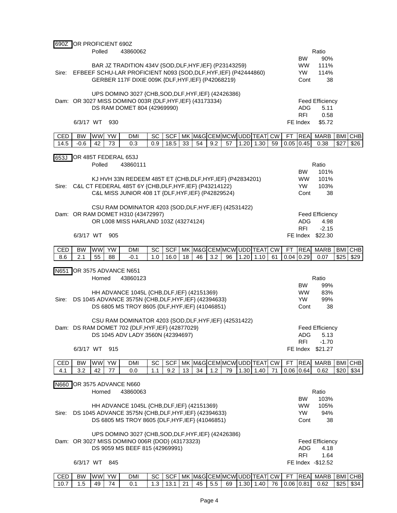| 690Z  | OR PROFICIENT 690Z     | Polled    | 43860062                                                                                                                   |     |            |    |    |     |    |      |                            |           |             |                          | Ratio                          |      |            |
|-------|------------------------|-----------|----------------------------------------------------------------------------------------------------------------------------|-----|------------|----|----|-----|----|------|----------------------------|-----------|-------------|--------------------------|--------------------------------|------|------------|
|       |                        |           |                                                                                                                            |     |            |    |    |     |    |      |                            |           |             | <b>BW</b>                | 90%                            |      |            |
| Sire: |                        |           | BAR JZ TRADITION 434V {SOD, DLF, HYF, IEF} (P23143259)<br>EFBEEF SCHU-LAR PROFICIENT N093 {SOD, DLF, HYF, IEF} (P42444860) |     |            |    |    |     |    |      |                            |           |             | <b>WW</b><br>YW.         | 111%<br>114%                   |      |            |
|       |                        |           | GERBER 117F DIXIE 009K {DLF, HYF, IEF} (P42068219)                                                                         |     |            |    |    |     |    |      |                            |           |             | Cont                     | 38                             |      |            |
|       |                        |           |                                                                                                                            |     |            |    |    |     |    |      |                            |           |             |                          |                                |      |            |
|       |                        |           | UPS DOMINO 3027 {CHB, SOD, DLF, HYF, IEF} (42426386)<br>Dam: OR 3027 MISS DOMINO 003R {DLF, HYF, IEF} (43173334)           |     |            |    |    |     |    |      |                            |           |             |                          | <b>Feed Efficiency</b>         |      |            |
|       |                        |           | DS RAM DOMET 804 (42969990)                                                                                                |     |            |    |    |     |    |      |                            |           |             | ADG.                     | 5.11                           |      |            |
|       | 6/3/17 WT              | 930       |                                                                                                                            |     |            |    |    |     |    |      |                            |           |             | <b>RFI</b><br>FE Index   | 0.58<br>\$5.72                 |      |            |
|       |                        |           |                                                                                                                            |     |            |    |    |     |    |      |                            |           |             |                          |                                |      |            |
| CED   | <b>BW</b><br><b>WW</b> | <b>YW</b> | <b>DMI</b>                                                                                                                 | SC  | <b>SCF</b> |    |    |     |    |      | MK M&G CEM MCW UDD TEAT    | <b>CW</b> | <b>FT</b>   | <b>REA</b>               | <b>MARB</b>                    |      | BMI CHB    |
| 14.5  | $-0.6$<br>42           | 73        | 0.3                                                                                                                        | 0.9 | 18.5       | 33 | 54 | 9.2 | 57 |      | $1.20$ 1.30                | 59        | $0.05$ 0.45 |                          | 0.38                           | \$27 | \$26       |
| 653J  | OR 485T FEDERAL 653J   |           |                                                                                                                            |     |            |    |    |     |    |      |                            |           |             |                          |                                |      |            |
|       |                        | Polled    | 43860111                                                                                                                   |     |            |    |    |     |    |      |                            |           |             | <b>BW</b>                | Ratio<br>101%                  |      |            |
|       |                        |           | KJ HVH 33N REDEEM 485T ET {CHB, DLF, HYF, IEF} (P42834201)                                                                 |     |            |    |    |     |    |      |                            |           |             | <b>WW</b>                | 101%                           |      |            |
| Sire: |                        |           | C&L CT FEDERAL 485T 6Y {CHB, DLF, HYF, IEF} (P43214122)                                                                    |     |            |    |    |     |    |      |                            |           |             | <b>YW</b>                | 103%                           |      |            |
|       |                        |           | C&L MISS JUNIOR 408 1T {DLF, HYF, IEF} (P42829524)                                                                         |     |            |    |    |     |    |      |                            |           |             | Cont                     | 38                             |      |            |
|       |                        |           | CSU RAM DOMINATOR 4203 {SOD, DLF, HYF, IEF} (42531422)                                                                     |     |            |    |    |     |    |      |                            |           |             |                          |                                |      |            |
|       |                        |           | Dam: OR RAM DOMET H310 (43472997)<br>OR L008 MISS HARLAND 103Z (43274124)                                                  |     |            |    |    |     |    |      |                            |           |             |                          | Feed Efficiency                |      |            |
|       |                        |           |                                                                                                                            |     |            |    |    |     |    |      |                            |           |             | <b>ADG</b><br><b>RFI</b> | 4.98<br>$-2.15$                |      |            |
|       | 6/3/17 WT              | 905       |                                                                                                                            |     |            |    |    |     |    |      |                            |           |             |                          | FE Index \$22.30               |      |            |
| CED   | <b>BW</b><br><b>WW</b> | <b>YW</b> | <b>DMI</b>                                                                                                                 | SC  | <b>SCF</b> |    |    |     |    |      | MK M&G CEM MCW UDD TEAT CW |           | FT          | <b>REA</b>               | <b>MARB</b>                    |      | BMI CHB    |
| 8.6   | 55<br>2.1              | 88        | $-0.1$                                                                                                                     | 1.0 | 16.0       | 18 | 46 | 3.2 | 96 | 1.20 | 1.10                       | 61        | $0.04$ 0.29 |                          | 0.07                           | \$25 | \$29       |
| N651  | OR 3575 ADVANCE N651   |           |                                                                                                                            |     |            |    |    |     |    |      |                            |           |             |                          |                                |      |            |
|       |                        |           |                                                                                                                            |     |            |    |    |     |    |      |                            |           |             |                          |                                |      |            |
|       |                        | Horned    | 43860123                                                                                                                   |     |            |    |    |     |    |      |                            |           |             |                          | Ratio                          |      |            |
|       |                        |           |                                                                                                                            |     |            |    |    |     |    |      |                            |           |             | <b>BW</b>                | 99%                            |      |            |
|       |                        |           | HH ADVANCE 1045L {CHB, DLF, IEF} (42151369)                                                                                |     |            |    |    |     |    |      |                            |           |             | <b>WW</b>                | 83%                            |      |            |
| Sire: |                        |           | DS 1045 ADVANCE 3575N {CHB, DLF, HYF, IEF} (42394633)<br>DS 6805 MS TROY 8605 {DLF, HYF, IEF} (41046851)                   |     |            |    |    |     |    |      |                            |           |             | <b>YW</b><br>Cont        | 99%<br>38                      |      |            |
|       |                        |           |                                                                                                                            |     |            |    |    |     |    |      |                            |           |             |                          |                                |      |            |
|       |                        |           | CSU RAM DOMINATOR 4203 {SOD, DLF, HYF, IEF} (42531422)<br>Dam: DS RAM DOMET 702 {DLF, HYF, IEF} (42877029)                 |     |            |    |    |     |    |      |                            |           |             |                          | <b>Feed Efficiency</b>         |      |            |
|       |                        |           | DS 1045 ADV LADY 3560N (42394697)                                                                                          |     |            |    |    |     |    |      |                            |           |             | ADG                      | 5.13                           |      |            |
|       |                        |           |                                                                                                                            |     |            |    |    |     |    |      |                            |           |             | <b>RFI</b>               | $-1.70$                        |      |            |
|       | 6/3/17 WT 915          |           |                                                                                                                            |     |            |    |    |     |    |      |                            |           |             | FE Index                 | \$21.27                        |      |            |
| CED   | BW                     | WW YW     | DMI                                                                                                                        | SC  | SCF        |    |    |     |    |      | MK M&G CEM MCW UDD TEAT CW |           | FT          | <b>REA</b>               | <b>MARB</b>                    |      | BMI CHB    |
| 4.1   | 3.2<br>42              | 77        | 0.0                                                                                                                        | 1.1 | 9.2        | 13 | 34 | 1.2 | 79 |      | $1.30 \, 1.40$             | 71        | $0.06$ 0.64 |                          | 0.62                           |      | $$20$ \$34 |
| N660  | OR 3575 ADVANCE N660   |           |                                                                                                                            |     |            |    |    |     |    |      |                            |           |             |                          |                                |      |            |
|       |                        | Horned    | 43860063                                                                                                                   |     |            |    |    |     |    |      |                            |           |             | <b>BW</b>                | Ratio<br>103%                  |      |            |
|       |                        |           | HH ADVANCE 1045L {CHB, DLF, IEF} (42151369)                                                                                |     |            |    |    |     |    |      |                            |           |             | <b>WW</b>                | 105%                           |      |            |
| Sire: |                        |           | DS 1045 ADVANCE 3575N {CHB, DLF, HYF, IEF} (42394633)                                                                      |     |            |    |    |     |    |      |                            |           |             | <b>YW</b>                | 94%                            |      |            |
|       |                        |           | DS 6805 MS TROY 8605 {DLF, HYF, IEF} (41046851)                                                                            |     |            |    |    |     |    |      |                            |           |             | Cont                     | 38                             |      |            |
|       |                        |           | UPS DOMINO 3027 {CHB, SOD, DLF, HYF, IEF} (42426386)                                                                       |     |            |    |    |     |    |      |                            |           |             |                          |                                |      |            |
|       |                        |           | Dam: OR 3027 MISS DOMINO 006R {DOD} (43173323)<br>DS 9059 MS BEEF 815 (42969991)                                           |     |            |    |    |     |    |      |                            |           |             | <b>ADG</b>               | <b>Feed Efficiency</b><br>4.18 |      |            |
|       | 6/3/17 WT 845          |           |                                                                                                                            |     |            |    |    |     |    |      |                            |           |             | <b>RFI</b>               | 1.64<br>FE Index -\$12.52      |      |            |

| CED | ВW      | VV VV | <b>YW</b>     | DMI | SC | SC. | МK | √IM&GICE <b>'</b> | :EMIMCWLUDDI <sup>-</sup> |     | ⊢∆ | C.W | --<br>- | <b>RFA</b> | MARB | <b>BMI</b> | <b>ICHB</b> |
|-----|---------|-------|---------------|-----|----|-----|----|-------------------|---------------------------|-----|----|-----|---------|------------|------|------------|-------------|
| 10  | $\cdot$ | 49    | $\mathcal{L}$ |     |    |     |    | 45                | 69                        | .30 | 40 | 76. | 06      | 0.81       | 62.ر | \$25       | \$34        |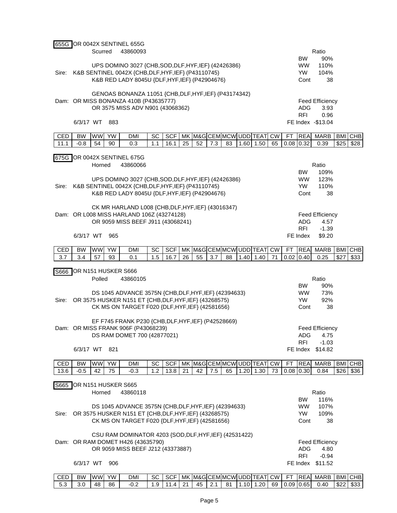|       |                          |           |           | 655G OR 0042X SENTINEL 655G                                                                    |     |            |    |    |     |    |                            |    |           |             |                                |            |         |
|-------|--------------------------|-----------|-----------|------------------------------------------------------------------------------------------------|-----|------------|----|----|-----|----|----------------------------|----|-----------|-------------|--------------------------------|------------|---------|
|       |                          | Scurred   |           | 43860093                                                                                       |     |            |    |    |     |    |                            |    |           |             | Ratio                          |            |         |
|       |                          |           |           |                                                                                                |     |            |    |    |     |    |                            |    |           | <b>BW</b>   | 90%                            |            |         |
|       |                          |           |           | UPS DOMINO 3027 {CHB, SOD, DLF, HYF, IEF} (42426386)                                           |     |            |    |    |     |    |                            |    |           | <b>WW</b>   | 110%                           |            |         |
| Sire: |                          |           |           | K&B SENTINEL 0042X {CHB, DLF, HYF, IEF} (P43110745)                                            |     |            |    |    |     |    |                            |    |           | <b>YW</b>   | 104%                           |            |         |
|       |                          |           |           | K&B RED LADY 8045U {DLF, HYF, IEF} (P42904676)                                                 |     |            |    |    |     |    |                            |    |           | Cont        | 38                             |            |         |
|       |                          |           |           |                                                                                                |     |            |    |    |     |    |                            |    |           |             |                                |            |         |
|       |                          |           |           | GENOAS BONANZA 11051 {CHB, DLF, HYF, IEF} (P43174342)<br>Dam: OR MISS BONANZA 410B (P43635777) |     |            |    |    |     |    |                            |    |           |             |                                |            |         |
|       |                          |           |           | OR 3575 MISS ADV N901 (43068362)                                                               |     |            |    |    |     |    |                            |    |           | <b>ADG</b>  | <b>Feed Efficiency</b><br>3.93 |            |         |
|       |                          |           |           |                                                                                                |     |            |    |    |     |    |                            |    |           | <b>RFI</b>  | 0.96                           |            |         |
|       | 6/3/17 WT                |           | 883       |                                                                                                |     |            |    |    |     |    |                            |    |           |             | FE Index - \$13.04             |            |         |
|       |                          |           |           |                                                                                                |     |            |    |    |     |    |                            |    |           |             |                                |            |         |
| CED   | <b>BW</b>                | <b>WW</b> | <b>YW</b> | <b>DMI</b>                                                                                     | SC  | <b>SCF</b> |    |    |     |    | MK M&G CEM MCW UDD TEAT CW |    | <b>FT</b> | <b>REA</b>  | <b>MARB</b>                    | <b>BMI</b> | CHB     |
| 11.1  | $-0.8$                   | 54        | 90        | 0.3                                                                                            | 1.1 | 16.1       | 25 | 52 | 7.3 | 83 | $1.60$ 1.50                | 65 |           | $0.08$ 0.32 | 0.39                           | \$25       | \$28    |
|       |                          |           |           |                                                                                                |     |            |    |    |     |    |                            |    |           |             |                                |            |         |
| 675G  |                          | Horned    |           | OR 0042X SENTINEL 675G<br>43860066                                                             |     |            |    |    |     |    |                            |    |           |             | Ratio                          |            |         |
|       |                          |           |           |                                                                                                |     |            |    |    |     |    |                            |    |           | <b>BW</b>   | 109%                           |            |         |
|       |                          |           |           | UPS DOMINO 3027 {CHB, SOD, DLF, HYF, IEF} (42426386)                                           |     |            |    |    |     |    |                            |    |           | <b>WW</b>   | 123%                           |            |         |
| Sire: |                          |           |           | K&B SENTINEL 0042X {CHB, DLF, HYF, IEF} (P43110745)                                            |     |            |    |    |     |    |                            |    |           | <b>YW</b>   | 110%                           |            |         |
|       |                          |           |           | K&B RED LADY 8045U {DLF, HYF, IEF} (P42904676)                                                 |     |            |    |    |     |    |                            |    |           | Cont        | 38                             |            |         |
|       |                          |           |           |                                                                                                |     |            |    |    |     |    |                            |    |           |             |                                |            |         |
|       |                          |           |           | CK MR HARLAND L008 {CHB, DLF, HYF, IEF} (43016347)                                             |     |            |    |    |     |    |                            |    |           |             |                                |            |         |
|       |                          |           |           | Dam: OR L008 MISS HARLAND 106Z (43274128)                                                      |     |            |    |    |     |    |                            |    |           |             | <b>Feed Efficiency</b>         |            |         |
|       |                          |           |           | OR 9059 MISS BEEF J911 (43068241)                                                              |     |            |    |    |     |    |                            |    |           | <b>ADG</b>  | 4.57                           |            |         |
|       |                          |           |           |                                                                                                |     |            |    |    |     |    |                            |    |           | <b>RFI</b>  | $-1.39$                        |            |         |
|       | 6/3/17 WT                |           | 965       |                                                                                                |     |            |    |    |     |    |                            |    |           | FE Index    | \$9.20                         |            |         |
| CED   | <b>BW</b>                | <b>WW</b> | <b>YW</b> | <b>DMI</b>                                                                                     | SC  | <b>SCF</b> |    |    |     |    | MK M&G CEM MCW UDD TEAT CW |    | FT        | <b>REA</b>  | <b>MARB</b>                    | <b>BMI</b> | CHB     |
| 3.7   | 3.4                      | 57        | 93        | 0.1                                                                                            | 1.5 | 16.7       | 26 | 55 | 3.7 | 88 | $1.40$ 1.40                | 71 |           | $0.02$ 0.40 | 0.25                           | \$27       | \$33    |
|       |                          |           |           |                                                                                                |     |            |    |    |     |    |                            |    |           |             |                                |            |         |
|       | S666 OR N151 HUSKER S666 |           |           |                                                                                                |     |            |    |    |     |    |                            |    |           |             |                                |            |         |
|       |                          | Polled    |           | 43860105                                                                                       |     |            |    |    |     |    |                            |    |           |             | Ratio                          |            |         |
|       |                          |           |           |                                                                                                |     |            |    |    |     |    |                            |    |           | <b>BW</b>   | 90%                            |            |         |
|       |                          |           |           | DS 1045 ADVANCE 3575N {CHB, DLF, HYF, IEF} (42394633)                                          |     |            |    |    |     |    |                            |    |           | <b>WW</b>   | 73%                            |            |         |
| Sire: |                          |           |           | OR 3575 HUSKER N151 ET {CHB, DLF, HYF, IEF} (43268575)                                         |     |            |    |    |     |    |                            |    |           | <b>YW</b>   | 92%                            |            |         |
|       |                          |           |           | CK MS ON TARGET F020 {DLF, HYF, IEF} (42581656)                                                |     |            |    |    |     |    |                            |    |           | Cont        | 38                             |            |         |
|       |                          |           |           | EF F745 FRANK P230 {CHB, DLF, HYF, IEF} (P42528669)                                            |     |            |    |    |     |    |                            |    |           |             |                                |            |         |
|       |                          |           |           | Dam: OR MISS FRANK 906F (P43068239)                                                            |     |            |    |    |     |    |                            |    |           |             | <b>Feed Efficiency</b>         |            |         |
|       |                          |           |           | DS RAM DOMET 700 (42877021)                                                                    |     |            |    |    |     |    |                            |    |           | ADG         | 4.75                           |            |         |
|       |                          |           |           |                                                                                                |     |            |    |    |     |    |                            |    |           | <b>RFI</b>  | $-1.03$                        |            |         |
|       | 6/3/17 WT                |           | 821       |                                                                                                |     |            |    |    |     |    |                            |    |           |             | FE Index \$14.82               |            |         |
|       |                          |           |           |                                                                                                |     |            |    |    |     |    |                            |    |           |             |                                |            |         |
| CED   | BW                       | <b>WW</b> | YW        | <b>DMI</b>                                                                                     | SC  | <b>SCF</b> |    |    |     |    | MK M&G CEM MCW UDD TEAT CW |    | FT        | <b>REA</b>  | <b>MARB</b>                    |            | BMI CHB |
| 13.6  | $-0.5$                   | 42        | 75        | $-0.3$                                                                                         | 1.2 | 13.8       | 21 | 42 | 7.5 | 65 | $1.20$ 1.30                | 73 |           | $0.08$ 0.30 | 0.84                           | \$26       | \$36    |
|       | S665 OR N151 HUSKER S665 |           |           |                                                                                                |     |            |    |    |     |    |                            |    |           |             |                                |            |         |
|       |                          | Horned    |           | 43860118                                                                                       |     |            |    |    |     |    |                            |    |           |             | Ratio                          |            |         |
|       |                          |           |           |                                                                                                |     |            |    |    |     |    |                            |    |           | <b>BW</b>   | 116%                           |            |         |
|       |                          |           |           | DS 1045 ADVANCE 3575N {CHB, DLF, HYF, IEF} (42394633)                                          |     |            |    |    |     |    |                            |    |           | <b>WW</b>   | 107%                           |            |         |
| Sire: |                          |           |           | OR 3575 HUSKER N151 ET {CHB, DLF, HYF, IEF} (43268575)                                         |     |            |    |    |     |    |                            |    |           | YW          | 109%                           |            |         |
|       |                          |           |           | CK MS ON TARGET F020 {DLF, HYF, IEF} (42581656)                                                |     |            |    |    |     |    |                            |    |           | Cont        | 38                             |            |         |
|       |                          |           |           |                                                                                                |     |            |    |    |     |    |                            |    |           |             |                                |            |         |
|       |                          |           |           | CSU RAM DOMINATOR 4203 {SOD, DLF, HYF, IEF} (42531422)                                         |     |            |    |    |     |    |                            |    |           |             |                                |            |         |
|       |                          |           |           | Dam: OR RAM DOMET H426 (43635790)                                                              |     |            |    |    |     |    |                            |    |           |             | <b>Feed Efficiency</b>         |            |         |
|       |                          |           |           | OR 9059 MISS BEEF J212 (43373887)                                                              |     |            |    |    |     |    |                            |    |           | <b>ADG</b>  | 4.80                           |            |         |
|       |                          |           |           |                                                                                                |     |            |    |    |     |    |                            |    |           | <b>RFI</b>  | $-0.94$                        |            |         |
|       | 6/3/17 WT                |           | 906       |                                                                                                |     |            |    |    |     |    |                            |    |           |             | FE Index \$11.52               |            |         |
|       |                          |           |           |                                                                                                |     |            |    |    |     |    |                            |    |           |             |                                |            |         |

| <b>CED</b> | вw | <b>WW</b> | <b>YW</b> | DMI | SC | SCF | MK. | <b>M&amp;GCEI</b> | CEMIMCWIUDDITEA™ |     | ΛTΙ. | <b>CW</b> | --<br><b>.</b> | $-$<br>RFAI | <b>MARB</b> | <b>BMI</b> | <b>CHB</b> |
|------------|----|-----------|-----------|-----|----|-----|-----|-------------------|------------------|-----|------|-----------|----------------|-------------|-------------|------------|------------|
| <u>ບ.ບ</u> |    | 48        | 86        | ے.ں | ◡  |     |     | $1 -$<br>ຯພ       | 8 <sup>4</sup>   | 10. | 20   | 69        | $0.09$ $0.65$  |             | 0.40        | \$22       | \$33       |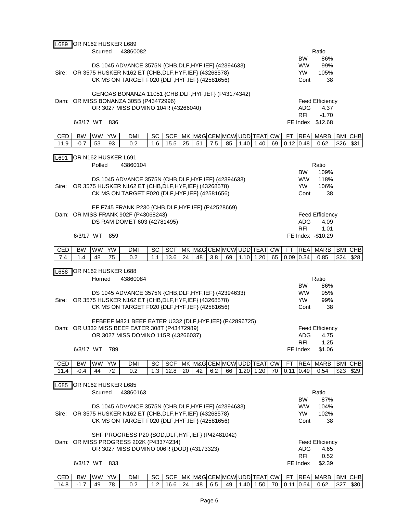| L689  | OR N162 HUSKER L689 |           |           |                                                         |           |            |           |       |     |    |             |                                          |           |             |                        |                        |            |                    |
|-------|---------------------|-----------|-----------|---------------------------------------------------------|-----------|------------|-----------|-------|-----|----|-------------|------------------------------------------|-----------|-------------|------------------------|------------------------|------------|--------------------|
|       |                     | Scurred   |           | 43860082                                                |           |            |           |       |     |    |             |                                          |           |             |                        | Ratio                  |            |                    |
|       |                     |           |           |                                                         |           |            |           |       |     |    |             |                                          |           |             | <b>BW</b>              | 86%                    |            |                    |
|       |                     |           |           | DS 1045 ADVANCE 3575N {CHB, DLF, HYF, IEF} (42394633)   |           |            |           |       |     |    |             |                                          |           |             | <b>WW</b>              | 99%                    |            |                    |
| Sire: |                     |           |           | OR 3575 HUSKER N162 ET {CHB, DLF, HYF, IEF} (43268578)  |           |            |           |       |     |    |             |                                          |           |             | YW                     | 105%                   |            |                    |
|       |                     |           |           | CK MS ON TARGET F020 {DLF, HYF, IEF} (42581656)         |           |            |           |       |     |    |             |                                          |           |             | Cont                   | 38                     |            |                    |
|       |                     |           |           |                                                         |           |            |           |       |     |    |             |                                          |           |             |                        |                        |            |                    |
|       |                     |           |           | GENOAS BONANZA 11051 {CHB, DLF, HYF, IEF} (P43174342)   |           |            |           |       |     |    |             |                                          |           |             |                        |                        |            |                    |
|       |                     |           |           | Dam: OR MISS BONANZA 305B (P43472996)                   |           |            |           |       |     |    |             |                                          |           |             |                        | <b>Feed Efficiency</b> |            |                    |
|       |                     |           |           | OR 3027 MISS DOMINO 104R (43266040)                     |           |            |           |       |     |    |             |                                          |           |             | ADG                    | 4.37                   |            |                    |
|       |                     |           |           |                                                         |           |            |           |       |     |    |             |                                          |           |             | <b>RFI</b>             | $-1.70$                |            |                    |
|       | 6/3/17 WT           |           | 836       |                                                         |           |            |           |       |     |    |             |                                          |           |             |                        | FE Index \$12.68       |            |                    |
| CED   | <b>BW</b>           | <b>WW</b> | <b>YW</b> | <b>DMI</b>                                              |           | <b>SCF</b> | MK        |       |     |    |             | M&G CEM MCW UDD TEAT                     | <b>CW</b> | FТ          | <b>REA</b>             | <b>MARB</b>            | <b>BMI</b> |                    |
| 11.9  | $-0.7$              | 53        | 93        | 0.2                                                     | SC<br>1.6 | 15.5       | 25        | 51    | 7.5 | 85 | 1.40        | 1.40                                     | 69        |             | $0.12$ 0.48            | 0.62                   | \$26       | <b>CHB</b><br>\$31 |
|       |                     |           |           |                                                         |           |            |           |       |     |    |             |                                          |           |             |                        |                        |            |                    |
| L691  | OR N162 HUSKER L691 |           |           |                                                         |           |            |           |       |     |    |             |                                          |           |             |                        |                        |            |                    |
|       |                     | Polled    |           | 43860104                                                |           |            |           | Ratio |     |    |             |                                          |           |             |                        |                        |            |                    |
|       |                     |           |           |                                                         |           |            | BW.       | 109%  |     |    |             |                                          |           |             |                        |                        |            |                    |
|       |                     |           |           | DS 1045 ADVANCE 3575N {CHB, DLF, HYF, IEF} (42394633)   |           |            | <b>WW</b> | 118%  |     |    |             |                                          |           |             |                        |                        |            |                    |
| Sire: |                     |           |           | OR 3575 HUSKER N162 ET {CHB, DLF, HYF, IEF} (43268578)  |           |            | YW.       | 106%  |     |    |             |                                          |           |             |                        |                        |            |                    |
|       |                     |           |           | CK MS ON TARGET F020 {DLF, HYF, IEF} (42581656)         |           |            | Cont      | 38    |     |    |             |                                          |           |             |                        |                        |            |                    |
|       |                     |           |           |                                                         |           |            |           |       |     |    |             |                                          |           |             |                        |                        |            |                    |
|       |                     |           |           | EF F745 FRANK P230 {CHB, DLF, HYF, IEF} (P42528669)     |           |            |           |       |     |    |             |                                          |           |             |                        |                        |            |                    |
|       |                     |           |           | Dam: OR MISS FRANK 902F (P43068243)                     |           |            |           |       |     |    |             |                                          |           |             |                        | <b>Feed Efficiency</b> |            |                    |
|       |                     |           |           | DS RAM DOMET 603 (42781495)                             |           |            |           |       |     |    |             |                                          |           |             | ADG                    | 4.09                   |            |                    |
|       |                     |           |           |                                                         |           |            |           |       |     |    |             |                                          |           |             | <b>RFI</b>             | 1.01                   |            |                    |
|       | 6/3/17 WT           |           | 859       |                                                         |           |            |           |       |     |    |             |                                          |           |             |                        | FE Index -\$10.29      |            |                    |
|       |                     |           |           |                                                         |           |            |           |       |     |    |             |                                          |           |             |                        |                        |            |                    |
| CED   | <b>BW</b>           | WW        | YW        | <b>DMI</b>                                              | SC        |            |           |       |     |    |             | SCF   MK   M&G CEM   MCW   UDD   TEAT CW |           | FT.         | <b>REA</b>             | MARB                   |            | BMI CHB            |
|       |                     |           |           |                                                         |           |            |           |       |     |    |             |                                          |           |             |                        |                        |            |                    |
| 7.4   | 1.4                 | 48        | 75        | 0.2                                                     | 1.1       | 13.6       | 24        | 48    | 3.8 | 69 | $1.10$ 1.20 |                                          | 65        | $0.09$ 0.34 |                        | 0.85                   | \$24       | \$28               |
|       |                     |           |           |                                                         |           |            |           |       |     |    |             |                                          |           |             |                        |                        |            |                    |
| L688  | OR N162 HUSKER L688 |           |           |                                                         |           |            |           |       |     |    |             |                                          |           |             |                        |                        |            |                    |
|       |                     | Horned    |           | 43860084                                                |           |            |           |       |     |    |             |                                          |           |             |                        | Ratio                  |            |                    |
|       |                     |           |           |                                                         |           |            |           |       |     |    |             |                                          |           |             | BW.                    | 86%                    |            |                    |
|       |                     |           |           | DS 1045 ADVANCE 3575N {CHB, DLF, HYF, IEF} (42394633)   |           |            |           |       |     |    |             |                                          |           |             | <b>WW</b>              | 95%                    |            |                    |
| Sire: |                     |           |           | OR 3575 HUSKER N162 ET {CHB, DLF, HYF, IEF} (43268578)  |           |            |           |       |     |    |             |                                          |           |             | YW.                    | 99%                    |            |                    |
|       |                     |           |           | CK MS ON TARGET F020 {DLF, HYF, IEF} (42581656)         |           |            |           |       |     |    |             |                                          |           |             | Cont                   | 38                     |            |                    |
|       |                     |           |           |                                                         |           |            |           |       |     |    |             |                                          |           |             |                        |                        |            |                    |
|       |                     |           |           | EFBEEF M821 BEEF EATER U332 {DLF, HYF, IEF} (P42896725) |           |            |           |       |     |    |             |                                          |           |             |                        |                        |            |                    |
|       |                     |           |           | Dam: OR U332 MISS BEEF EATER 308T (P43472989)           |           |            |           |       |     |    |             |                                          |           |             |                        | <b>Feed Efficiency</b> |            |                    |
|       |                     |           |           | OR 3027 MISS DOMINO 115R (43266037)                     |           |            |           |       |     |    |             |                                          |           |             | ADG<br><b>RFI</b>      | 4.75<br>1.25           |            |                    |
|       | 6/3/17 WT           |           | 789       |                                                         |           |            |           |       |     |    |             |                                          |           |             | FE Index               | \$1.06                 |            |                    |
|       |                     |           |           |                                                         |           |            |           |       |     |    |             |                                          |           |             |                        |                        |            |                    |
| CED   | BW                  | WW        | YW        | DMI                                                     | SC        | <b>SCF</b> |           |       |     |    |             | MK M&G CEM MCW UDD TEAT CW               |           | <b>FT</b>   | <b>REA</b>             | MARB                   |            | BMI CHB            |
| 11.4  | $-0.4$              | 44        | 72        | 0.2                                                     | 1.3       | 12.8       | 20        | 42    | 6.2 | 66 |             | $1.20$ 1.20                              | 70        |             | $0.11$ 0.49            | 0.54                   | \$23       | \$29               |
|       |                     |           |           |                                                         |           |            |           |       |     |    |             |                                          |           |             |                        |                        |            |                    |
| L685  | OR N162 HUSKER L685 |           |           |                                                         |           |            |           |       |     |    |             |                                          |           |             |                        |                        |            |                    |
|       |                     | Scurred   |           | 43860163                                                |           |            |           |       |     |    |             |                                          |           |             |                        | Ratio                  |            |                    |
|       |                     |           |           |                                                         |           |            |           |       |     |    |             |                                          |           |             | <b>BW</b>              | 87%                    |            |                    |
|       |                     |           |           | DS 1045 ADVANCE 3575N {CHB, DLF, HYF, IEF} (42394633)   |           |            |           |       |     |    |             |                                          |           |             | <b>WW</b>              | 104%                   |            |                    |
| Sire: |                     |           |           | OR 3575 HUSKER N162 ET {CHB, DLF, HYF, IEF} (43268578)  |           |            |           |       |     |    |             |                                          |           |             | <b>YW</b>              | 102%                   |            |                    |
|       |                     |           |           | CK MS ON TARGET F020 {DLF, HYF, IEF} (42581656)         |           |            |           |       |     |    |             |                                          |           |             | Cont                   | 38                     |            |                    |
|       |                     |           |           |                                                         |           |            |           |       |     |    |             |                                          |           |             |                        |                        |            |                    |
|       |                     |           |           | SHF PROGRESS P20 {SOD, DLF, HYF, IEF} (P42481042)       |           |            |           |       |     |    |             |                                          |           |             |                        |                        |            |                    |
|       |                     |           |           | Dam: OR MISS PROGRESS 202K (P43374234)                  |           |            |           |       |     |    |             |                                          |           |             |                        | <b>Feed Efficiency</b> |            |                    |
|       |                     |           |           | OR 3027 MISS DOMINO 006R {DOD} (43173323)               |           |            |           |       |     |    |             |                                          |           |             | <b>ADG</b>             | 4.65                   |            |                    |
|       | 6/3/17 WT           |           | 833       |                                                         |           |            |           |       |     |    |             |                                          |           |             | <b>RFI</b><br>FE Index | 0.52<br>\$2.39         |            |                    |

| CED        | <b>BW</b> | <b>A</b> $\mathbf{A}$<br>WW. | <b>YW</b> | <b>DMI</b> | SC | SG) | MK | M&GLC |   | JEMIMCWI UDDI <sup>-</sup> |    | -<br>$\sim$ $\sim$<br>$\vdash$ $\Delta$ | C.W | --<br>н. | $-$<br><b>IREAI</b> | <b>MARB</b> | <b>BMI</b> | <b>CHB</b> |
|------------|-----------|------------------------------|-----------|------------|----|-----|----|-------|---|----------------------------|----|-----------------------------------------|-----|----------|---------------------|-------------|------------|------------|
| 14<br>т. о | .         | 49                           | 78        | ◡.∠        |    | ۱r  | 24 | 48    | ĥ | 49                         | 40 | .50                                     | 70  |          | IO.<br>54           | 0.62        | いへつ<br>ے ت | \$30       |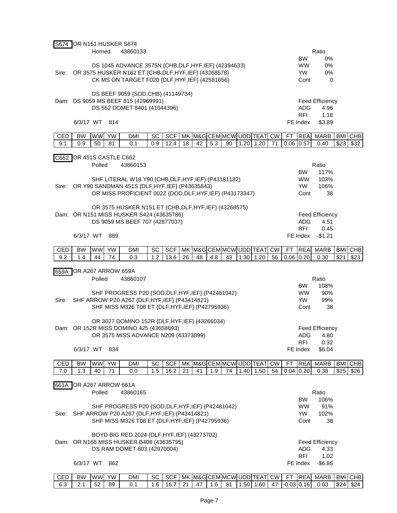|       | S674 OR N151 HUSKER S674 |           |           |                                                                                                    |     |            |    |    |     |    |                            |    |    |                   |                        |            |            |
|-------|--------------------------|-----------|-----------|----------------------------------------------------------------------------------------------------|-----|------------|----|----|-----|----|----------------------------|----|----|-------------------|------------------------|------------|------------|
|       |                          | Horned    |           | 43860133                                                                                           |     |            |    |    |     |    |                            |    |    |                   | Ratio                  |            |            |
|       |                          |           |           |                                                                                                    |     |            |    |    |     |    |                            |    |    | <b>BW</b>         | 0%                     |            |            |
|       |                          |           |           | DS 1045 ADVANCE 3575N {CHB, DLF, HYF, IEF} (42394633)                                              |     |            |    |    |     |    |                            |    |    | <b>WW</b>         | 0%                     |            |            |
| Sire: |                          |           |           | OR 3575 HUSKER N162 ET {CHB, DLF, HYF, IEF} (43268578)                                             |     |            |    |    |     |    |                            |    |    | <b>YW</b>         | 0%                     |            |            |
|       |                          |           |           | CK MS ON TARGET F020 {DLF, HYF, IEF} (42581656)                                                    |     |            |    |    |     |    |                            |    |    | Cont              | 0                      |            |            |
|       |                          |           |           |                                                                                                    |     |            |    |    |     |    |                            |    |    |                   |                        |            |            |
|       |                          |           |           | DS BEEF 9059 {SOD, CHB} (41149734)                                                                 |     |            |    |    |     |    |                            |    |    |                   |                        |            |            |
|       |                          |           |           | Dam: DS 9059 MS BEEF 815 (42969991)                                                                |     |            |    |    |     |    |                            |    |    |                   | <b>Feed Efficiency</b> |            |            |
|       |                          |           |           | DS 552 DOMET 8401 (41044396)                                                                       |     |            |    |    |     |    |                            |    |    | <b>ADG</b>        | 4.96                   |            |            |
|       |                          |           |           |                                                                                                    |     |            |    |    |     |    |                            |    |    | <b>RFI</b>        | 1.18                   |            |            |
|       | 6/3/17 WT                |           | 814       |                                                                                                    |     |            |    |    |     |    |                            |    |    | FE Index          | \$3.89                 |            |            |
| CED   | <b>BW</b>                | <b>WW</b> | YW        | <b>DMI</b>                                                                                         | SC  | <b>SCF</b> |    |    |     |    | MK M&G CEM MCW UDD TEAT CW |    | FT | <b>REA</b>        | <b>MARB</b>            |            | BMI CHB    |
| 9.1   | 0.9                      | 50        | 81        | 0.1                                                                                                | 0.9 | 12.4       | 18 | 42 | 5.3 | 90 | $1.20$ 1.20                | 71 |    | $0.06$ 0.57       | 0.40                   | \$23       | \$32       |
|       |                          |           |           |                                                                                                    |     |            |    |    |     |    |                            |    |    |                   |                        |            |            |
| C662  | OR 451S CASTLE C662      |           |           |                                                                                                    |     |            |    |    |     |    |                            |    |    |                   |                        |            |            |
|       |                          | Polled    |           | 43860153                                                                                           |     |            |    |    |     |    |                            |    |    |                   | Ratio                  |            |            |
|       |                          |           |           |                                                                                                    |     |            |    |    |     |    |                            |    |    | <b>BW</b>         | 117%                   |            |            |
|       |                          |           |           | SHF LITERAL W18 Y90 {CHB, DLF, HYF, IEF} (P43181182)                                               |     |            |    |    |     |    |                            |    |    | <b>WW</b>         | 103%                   |            |            |
| Sire: |                          |           |           | OR Y90 SANDMAN 451S {DLF, HYF, IEF} (P43635843)                                                    |     |            |    |    |     |    |                            |    |    | <b>YW</b>         | 106%                   |            |            |
|       |                          |           |           | OR MISS PROFICIENT 002Z {DOD, DLF, HYF, IEF} (P43173347)                                           |     |            |    |    |     |    |                            |    |    | Cont              | 38                     |            |            |
|       |                          |           |           |                                                                                                    |     |            |    |    |     |    |                            |    |    |                   |                        |            |            |
|       |                          |           |           | OR 3575 HUSKER N151 ET {CHB, DLF, HYF, IEF} (43268575)<br>Dam: OR N151 MISS HUSKER S424 (43635786) |     |            |    |    |     |    |                            |    |    |                   | <b>Feed Efficiency</b> |            |            |
|       |                          |           |           | DS 9059 MS BEEF 707 (42877037)                                                                     |     |            |    |    |     |    |                            |    |    | ADG               | 4.51                   |            |            |
|       |                          |           |           |                                                                                                    |     |            |    |    |     |    |                            |    |    | <b>RFI</b>        | 0.45                   |            |            |
|       | 6/3/17 WT                |           | 889       |                                                                                                    |     |            |    |    |     |    |                            |    |    |                   | FE Index -\$1.21       |            |            |
|       |                          |           |           |                                                                                                    |     |            |    |    |     |    |                            |    |    |                   |                        |            |            |
| CED   | <b>BW</b>                | <b>WW</b> | <b>YW</b> | <b>DMI</b>                                                                                         | SC  | SCF        |    |    |     |    | MK M&G CEM MCW UDD TEAT CW |    | FT | <b>REA</b>        | <b>MARB</b>            | <b>BMI</b> | <b>CHB</b> |
| 9.2   | 1.4                      | 44        | 74        | 0.3                                                                                                | 1.2 | 13.6       | 26 | 48 | 4.8 | 43 | $1.30$ 1.20                | 56 |    | $0.06$ 0.20       | 0.30                   | \$21       | \$23       |
|       |                          |           |           |                                                                                                    |     |            |    |    |     |    |                            |    |    |                   |                        |            |            |
|       | 659A OR A267 ARROW 659A  |           |           |                                                                                                    |     |            |    |    |     |    |                            |    |    |                   |                        |            |            |
|       |                          | Polled    |           | 43860107                                                                                           |     |            |    |    |     |    |                            |    |    |                   | Ratio                  |            |            |
|       |                          |           |           |                                                                                                    |     |            |    |    |     |    |                            |    |    | <b>BW</b>         | 108%                   |            |            |
|       |                          |           |           | SHF PROGRESS P20 {SOD, DLF, HYF, IEF} (P42481042)                                                  |     |            |    |    |     |    |                            |    |    | <b>WW</b>         | 90%                    |            |            |
| Sire: |                          |           |           | SHF ARROW P20 A267 {DLF, HYF, IEF} (P43414821)<br>SHF MISS M326 T08 ET {DLF, HYF, IEF} (P42795936) |     |            |    |    |     |    |                            |    |    | YW.<br>Cont       | 99%<br>38              |            |            |
|       |                          |           |           |                                                                                                    |     |            |    |    |     |    |                            |    |    |                   |                        |            |            |
|       |                          |           |           | OR 3027 DOMINO 152R {DLF, HYF, IEF} (43266034)                                                     |     |            |    |    |     |    |                            |    |    |                   |                        |            |            |
|       |                          |           |           | Dam: OR 152R MISS DOMINO 425 (43658693)                                                            |     |            |    |    |     |    |                            |    |    |                   | <b>Feed Efficiency</b> |            |            |
|       |                          |           |           | OR 3575 MISS ADVANCE N209 (43373899)                                                               |     |            |    |    |     |    |                            |    |    | <b>ADG</b>        | 4.80                   |            |            |
|       |                          |           |           |                                                                                                    |     |            |    |    |     |    |                            |    |    | <b>RFI</b>        | 0.32                   |            |            |
|       | 6/3/17 WT                |           | 834       |                                                                                                    |     |            |    |    |     |    |                            |    |    | FE Index          | \$6.04                 |            |            |
|       |                          |           |           |                                                                                                    |     |            |    |    |     |    |                            |    |    |                   |                        |            |            |
| CED   | BW                       |           |           | DMI                                                                                                | SC  | <b>SCF</b> |    |    |     |    | MK M&G CEM MCW UDD TEAT CW |    | FT | <b>REA</b>        | MARB                   | <b>BMI</b> | <b>CHB</b> |
| 7.0   |                          | <b>WW</b> | YW        |                                                                                                    |     |            |    |    |     |    |                            |    |    |                   |                        |            |            |
|       | 1.3                      | 40        | 71        | 0.0                                                                                                | 1.5 | 16.2       | 21 | 41 | 1.9 | 74 | $1.40$ 1.50                | 54 |    | $0.04$ 0.20       | 0.38                   | \$25       | \$26       |
|       |                          |           |           |                                                                                                    |     |            |    |    |     |    |                            |    |    |                   |                        |            |            |
| 661A  | OR A267 ARROW 661A       |           |           |                                                                                                    |     |            |    |    |     |    |                            |    |    |                   |                        |            |            |
|       |                          | Polled    |           | 43860165                                                                                           |     |            |    |    |     |    |                            |    |    |                   | Ratio                  |            |            |
|       |                          |           |           |                                                                                                    |     |            |    |    |     |    |                            |    |    | <b>BW</b>         | 106%                   |            |            |
|       |                          |           |           | SHF PROGRESS P20 {SOD, DLF, HYF, IEF} (P42481042)                                                  |     |            |    |    |     |    |                            |    |    | <b>WW</b>         | 91%                    |            |            |
| Sire: |                          |           |           | SHF ARROW P20 A267 {DLF, HYF, IEF} (P43414821)<br>SHF MISS M326 T08 ET {DLF, HYF, IEF} (P42795936) |     |            |    |    |     |    |                            |    |    | <b>YW</b><br>Cont | 102%<br>38             |            |            |
|       |                          |           |           |                                                                                                    |     |            |    |    |     |    |                            |    |    |                   |                        |            |            |
|       |                          |           |           | BOYD BIG RED 2024 {DLF, HYF, IEF} (43273702)                                                       |     |            |    |    |     |    |                            |    |    |                   |                        |            |            |
|       |                          |           |           | Dam: OR N166 MISS HUSKER B408 (43635795)                                                           |     |            |    |    |     |    |                            |    |    |                   | <b>Feed Efficiency</b> |            |            |
|       |                          |           |           | DS RAM DOMET 803 (42970004)                                                                        |     |            |    |    |     |    |                            |    |    | <b>ADG</b>        | 4.33                   |            |            |
|       |                          |           |           |                                                                                                    |     |            |    |    |     |    |                            |    |    | <b>RFI</b>        | 1.02                   |            |            |
|       | 6/3/17 WT                |           | 862       |                                                                                                    |     |            |    |    |     |    |                            |    |    | FE Index          | $-$ \$6.86             |            |            |

CED | BW |WW| YW | DMI | SC | SCF | MK |M&G|CEM|MCW| UDD|TEAT| CW | FT |REA| MARB |BMI |CHB 6.3 2.1 52 89 0.1 1.6 16.7 21 47 1.6 81 1.50 1.60 47 -0.03 0.16 0.03 \$24 \$24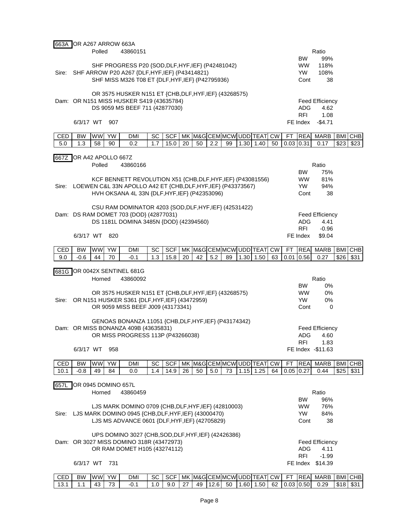| 663A  | OR A267 ARROW 663A  |           |           |                                                                                               |     |            |    |    |     |    |                                          |           |      |             |                                |            |            |
|-------|---------------------|-----------|-----------|-----------------------------------------------------------------------------------------------|-----|------------|----|----|-----|----|------------------------------------------|-----------|------|-------------|--------------------------------|------------|------------|
|       |                     | Polled    |           | 43860151                                                                                      |     |            |    |    |     |    |                                          |           |      |             | Ratio                          |            |            |
|       |                     |           |           |                                                                                               |     |            |    |    |     |    |                                          |           |      | <b>BW</b>   | 99%                            |            |            |
|       |                     |           |           | SHF PROGRESS P20 {SOD, DLF, HYF, IEF} (P42481042)                                             |     |            |    |    |     |    |                                          |           |      | <b>WW</b>   | 118%                           |            |            |
| Sire: |                     |           |           | SHF ARROW P20 A267 {DLF, HYF, IEF} (P43414821)                                                |     |            |    |    |     |    |                                          |           |      | YW          | 108%                           |            |            |
|       |                     |           |           | SHF MISS M326 T08 ET {DLF, HYF, IEF} (P42795936)                                              |     |            |    |    |     |    |                                          |           |      | Cont        | 38                             |            |            |
|       |                     |           |           | OR 3575 HUSKER N151 ET {CHB, DLF, HYF, IEF} (43268575)                                        |     |            |    |    |     |    |                                          |           |      |             |                                |            |            |
|       |                     |           |           | Dam: OR N151 MISS HUSKER S419 (43635784)                                                      |     |            |    |    |     |    |                                          |           |      |             | <b>Feed Efficiency</b>         |            |            |
|       |                     |           |           | DS 9059 MS BEEF 711 (42877030)                                                                |     |            |    |    |     |    |                                          |           |      | <b>ADG</b>  | 4.62                           |            |            |
|       |                     |           |           |                                                                                               |     |            |    |    |     |    |                                          |           |      | <b>RFI</b>  | 1.08                           |            |            |
|       | 6/3/17 WT           |           | 907       |                                                                                               |     |            |    |    |     |    |                                          |           |      | FE Index    | $-$ \$4.71                     |            |            |
|       |                     |           |           |                                                                                               |     |            |    |    |     |    |                                          |           |      |             |                                |            |            |
| CED   | <b>BW</b>           | WW        | YW        | <b>DMI</b>                                                                                    | SC  | SCF        | MK |    |     |    | M&GCEMMCWUDDTEAT                         | <b>CW</b> | FT   | <b>REA</b>  | <b>MARB</b>                    | <b>BMI</b> | <b>CHB</b> |
| 5.0   | 1.3                 | 58        | 90        | 0.2                                                                                           | 1.7 | 15.0       | 20 | 50 | 2.2 | 99 | $1.30$ 1.40                              | 50        |      | $0.03$ 0.31 | 0.17                           | \$23       | \$23       |
|       |                     |           |           |                                                                                               |     |            |    |    |     |    |                                          |           |      |             |                                |            |            |
| 667Z  | OR A42 APOLLO 667Z  |           |           |                                                                                               |     |            |    |    |     |    |                                          |           |      |             |                                |            |            |
|       |                     | Polled    |           | 43860166                                                                                      |     |            |    |    |     |    |                                          |           |      | <b>BW</b>   | Ratio<br>75%                   |            |            |
|       |                     |           |           | KCF BENNETT REVOLUTION X51 {CHB, DLF, HYF, IEF} (P43081556)                                   |     |            |    |    |     |    |                                          |           |      | <b>WW</b>   | 81%                            |            |            |
| Sire: |                     |           |           | LOEWEN C&L 33N APOLLO A42 ET {CHB, DLF, HYF, IEF} (P43373567)                                 |     |            |    |    |     |    |                                          |           |      | <b>YW</b>   | 94%                            |            |            |
|       |                     |           |           | HVH OKSANA 4L 33N {DLF, HYF, IEF} (P42353096)                                                 |     |            |    |    |     |    |                                          |           |      | Cont        | 38                             |            |            |
|       |                     |           |           |                                                                                               |     |            |    |    |     |    |                                          |           |      |             |                                |            |            |
|       |                     |           |           | CSU RAM DOMINATOR 4203 {SOD, DLF, HYF, IEF} (42531422)                                        |     |            |    |    |     |    |                                          |           |      |             |                                |            |            |
|       |                     |           |           | Dam: DS RAM DOMET 703 {DOD} (42877031)                                                        |     |            |    |    |     |    |                                          |           |      |             | <b>Feed Efficiency</b>         |            |            |
|       |                     |           |           | DS 1181L DOMINA 3485N {DOD} (42394560)                                                        |     |            |    |    |     |    |                                          |           |      | ADG.        | 4.41                           |            |            |
|       |                     |           |           |                                                                                               |     |            |    |    |     |    |                                          |           |      | <b>RFI</b>  | $-0.96$                        |            |            |
|       | 6/3/17 WT           |           | 820       |                                                                                               |     |            |    |    |     |    |                                          |           |      | FE Index    | \$9.04                         |            |            |
| CED   | <b>BW</b>           | <b>WW</b> | <b>YW</b> | <b>DMI</b>                                                                                    | SC  |            |    |    |     |    | SCF   MK   M&G CEM   MCW   UDD   TEAT CW |           | FT   | <b>REA</b>  | <b>MARB</b>                    |            | BMI CHB    |
| 9.0   | $-0.6$              | 44        | 70        | $-0.1$                                                                                        | 1.3 | 15.8       | 20 | 42 | 5.2 | 89 | $1.30$ 1.50                              | 63        | 0.01 | 0.56        | 0.27                           | \$26       | \$31       |
|       |                     |           |           |                                                                                               |     |            |    |    |     |    |                                          |           |      |             |                                |            |            |
|       |                     |           |           | 681G OR 0042X SENTINEL 681G                                                                   |     |            |    |    |     |    |                                          |           |      |             |                                |            |            |
|       |                     | Horned    |           | 43860092                                                                                      |     |            |    |    |     |    |                                          |           |      |             | Ratio                          |            |            |
|       |                     |           |           |                                                                                               |     |            |    |    |     |    |                                          |           |      | <b>BW</b>   | 0%                             |            |            |
|       |                     |           |           | OR 3575 HUSKER N151 ET {CHB, DLF, HYF, IEF} (43268575)                                        |     |            |    |    |     |    |                                          |           |      | <b>WW</b>   | 0%                             |            |            |
| Sire: |                     |           |           | OR N151 HUSKER S361 {DLF, HYF, IEF} (43472959)                                                |     |            |    |    |     |    |                                          |           |      | YW.         | 0%                             |            |            |
|       |                     |           |           | OR 9059 MISS BEEF J009 (43173341)                                                             |     |            |    |    |     |    |                                          |           |      | Cont        | 0                              |            |            |
|       |                     |           |           |                                                                                               |     |            |    |    |     |    |                                          |           |      |             |                                |            |            |
|       |                     |           |           | GENOAS BONANZA 11051 {CHB, DLF, HYF, IEF} (P43174342)<br>Dam: OR MISS BONANZA 409B (43635831) |     |            |    |    |     |    |                                          |           |      |             |                                |            |            |
|       |                     |           |           | OR MISS PROGRESS 113P (P43266038)                                                             |     |            |    |    |     |    |                                          |           |      | ADG         | <b>Feed Efficiency</b><br>4.60 |            |            |
|       |                     |           |           |                                                                                               |     |            |    |    |     |    |                                          |           |      | <b>RFI</b>  | 1.83                           |            |            |
|       | 6/3/17 WT           |           | 958       |                                                                                               |     |            |    |    |     |    |                                          |           |      |             | FE Index -\$11.63              |            |            |
|       |                     |           |           |                                                                                               |     |            |    |    |     |    |                                          |           |      |             |                                |            |            |
| CED   | BW                  | <b>WW</b> | YW        | <b>DMI</b>                                                                                    | SC  | <b>SCF</b> |    |    |     |    | MK M&G CEM MCW UDD TEAT CW               |           | FT   | <b>REA</b>  | <b>MARB</b>                    | BMI        | <b>CHB</b> |
| 10.1  | $-0.8$              | 49        | 84        | 0.0                                                                                           | 1.4 | 14.9       | 26 | 50 | 5.0 | 73 | $1.15$ 1.25                              | 64        |      | $0.05$ 0.27 | 0.44                           | \$25       | \$31       |
|       |                     |           |           |                                                                                               |     |            |    |    |     |    |                                          |           |      |             |                                |            |            |
| 657L  | OR 0945 DOMINO 657L |           |           |                                                                                               |     |            |    |    |     |    |                                          |           |      |             |                                |            |            |
|       |                     |           |           |                                                                                               |     |            |    |    |     |    |                                          |           |      |             |                                |            |            |
|       |                     | Horned    |           | 43860459                                                                                      |     |            |    |    |     |    |                                          |           |      |             | Ratio                          |            |            |
|       |                     |           |           |                                                                                               |     |            |    |    |     |    |                                          |           |      | <b>BW</b>   | 96%                            |            |            |
|       |                     |           |           | LJS MARK DOMINO 0709 {CHB, DLF, HYF, IEF} (42810003)                                          |     |            |    |    |     |    |                                          |           |      | <b>WW</b>   | 76%                            |            |            |
| Sire: |                     |           |           | LJS MARK DOMINO 0945 {CHB, DLF, HYF, IEF} (43000470)                                          |     |            |    |    |     |    |                                          |           |      | <b>YW</b>   | 84%                            |            |            |
|       |                     |           |           | LJS MS ADVANCE 0601 {DLF, HYF, IEF} (42705829)                                                |     |            |    |    |     |    |                                          |           |      | Cont        | 38                             |            |            |
|       |                     |           |           | UPS DOMINO 3027 {CHB, SOD, DLF, HYF, IEF} (42426386)                                          |     |            |    |    |     |    |                                          |           |      |             |                                |            |            |
|       |                     |           |           | Dam: OR 3027 MISS DOMINO 318R (43472973)                                                      |     |            |    |    |     |    |                                          |           |      |             | <b>Feed Efficiency</b>         |            |            |
|       |                     |           |           | OR RAM DOMET H105 (43274112)                                                                  |     |            |    |    |     |    |                                          |           |      | ADG.        | 4.11                           |            |            |
|       |                     |           |           |                                                                                               |     |            |    |    |     |    |                                          |           |      | <b>RFI</b>  | $-1.99$                        |            |            |
|       | 6/3/17 WT 731       |           |           |                                                                                               |     |            |    |    |     |    |                                          |           |      |             | FE Index \$14.39               |            |            |

CED | BW |WW| YW | DMI | SC | SCF | MK |M&G|CEM|MCW| UDD|TEAT| CW | FT |REA| MARB |BMI |CHB 13.1 | 1.1 | 43 | 73 | -0.1 | 1.0 | 9.0 | 27 | 49 | 12.6 | 50 | 1.60 | 1.50 | 62 | 0.03 | 0.50 | 0.29 | \$18 | \$31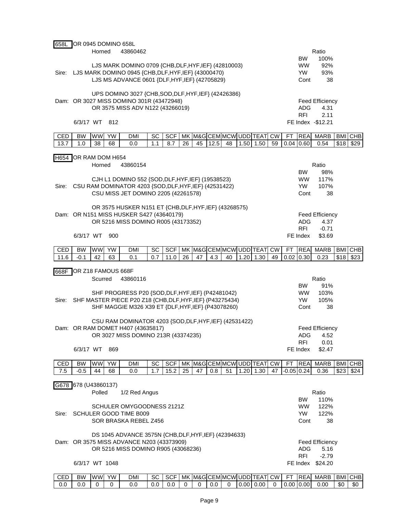| Horned<br>43860462<br>LJS MARK DOMINO 0709 {CHB, DLF, HYF, IEF} (42810003)<br>Sire: LJS MARK DOMINO 0945 {CHB, DLF, HYF, IEF} (43000470)<br>LJS MS ADVANCE 0601 {DLF, HYF, IEF} (42705829) | Ratio                                                           |
|--------------------------------------------------------------------------------------------------------------------------------------------------------------------------------------------|-----------------------------------------------------------------|
|                                                                                                                                                                                            |                                                                 |
|                                                                                                                                                                                            | 100%<br><b>BW</b>                                               |
|                                                                                                                                                                                            | <b>WW</b><br>92%                                                |
|                                                                                                                                                                                            | <b>YW</b><br>93%                                                |
|                                                                                                                                                                                            | 38<br>Cont                                                      |
|                                                                                                                                                                                            |                                                                 |
| UPS DOMINO 3027 {CHB, SOD, DLF, HYF, IEF} (42426386)                                                                                                                                       |                                                                 |
| Dam: OR 3027 MISS DOMINO 301R (43472948)                                                                                                                                                   | <b>Feed Efficiency</b>                                          |
| OR 3575 MISS ADV N122 (43266019)                                                                                                                                                           | ADG<br>4.31                                                     |
|                                                                                                                                                                                            | <b>RFI</b><br>2.11                                              |
| 6/3/17 WT<br>812                                                                                                                                                                           | FE Index -\$12.21                                               |
| <b>WW</b><br>SC<br><b>SCF</b><br>MK M&G CEM MCW UDD TEAT CW<br>CED<br><b>BW</b><br><b>YW</b><br><b>DMI</b>                                                                                 | <b>REA</b><br><b>FT</b><br><b>MARB</b><br><b>BMI</b><br>CHB     |
| 38<br>1.1<br>8.7<br>26<br>12.5<br>$1.50$ 1.50<br>13.7<br>1.0<br>68<br>0.0<br>45<br>48                                                                                                      | 59<br>$0.04$ 0.60<br>\$18<br>0.54<br>\$29                       |
|                                                                                                                                                                                            |                                                                 |
| OR RAM DOM H654<br>H654                                                                                                                                                                    |                                                                 |
| Horned<br>43860154                                                                                                                                                                         | Ratio                                                           |
|                                                                                                                                                                                            | 98%<br><b>BW</b>                                                |
| CJH L1 DOMINO 552 {SOD, DLF, HYF, IEF} (19538523)                                                                                                                                          | <b>WW</b><br>117%                                               |
| CSU RAM DOMINATOR 4203 {SOD, DLF, HYF, IEF} (42531422)<br>Sire:                                                                                                                            | 107%<br>YW.                                                     |
| CSU MISS JET DOMINO 2205 (42261578)                                                                                                                                                        | Cont<br>38                                                      |
|                                                                                                                                                                                            |                                                                 |
| OR 3575 HUSKER N151 ET {CHB, DLF, HYF, IEF} (43268575)                                                                                                                                     |                                                                 |
| Dam: OR N151 MISS HUSKER S427 (43640179)                                                                                                                                                   | <b>Feed Efficiency</b>                                          |
| OR 5216 MISS DOMINO R005 (43173352)                                                                                                                                                        | ADG<br>4.37                                                     |
|                                                                                                                                                                                            | <b>RFI</b><br>$-0.71$                                           |
| 6/3/17 WT<br>900                                                                                                                                                                           | FE Index<br>\$3.69                                              |
| <b>WW</b><br>SCF<br>MK M&G CEM MCW UDD TEAT CW<br>CED<br><b>BW</b><br><b>YW</b><br><b>DMI</b><br>SC                                                                                        | FT<br><b>REA</b><br><b>MARB</b><br><b>BMI CHB</b>               |
| 42<br>63<br>0.1<br>0.7<br>11.0<br>26<br>47<br>4.3<br>40<br>$1.20$ 1.30<br>11.6<br>$-0.1$                                                                                                   | \$18<br>49<br>0.02<br>0.30<br>0.23<br>\$23                      |
|                                                                                                                                                                                            |                                                                 |
| OR Z18 FAMOUS 668F<br>668F                                                                                                                                                                 |                                                                 |
| 43860116<br>Scurred                                                                                                                                                                        | Ratio                                                           |
|                                                                                                                                                                                            | 91%<br><b>BW</b>                                                |
| SHF PROGRESS P20 {SOD, DLF, HYF, IEF} (P42481042)                                                                                                                                          | <b>WW</b><br>103%                                               |
|                                                                                                                                                                                            |                                                                 |
| SHF MASTER PIECE P20 Z18 {CHB, DLF, HYF, IEF} (P43275434)<br>Sire:                                                                                                                         | 105%<br>YW.                                                     |
| SHF MAGGIE M326 X39 ET {DLF, HYF, IEF} (P43078260)                                                                                                                                         | Cont<br>38                                                      |
|                                                                                                                                                                                            |                                                                 |
| CSU RAM DOMINATOR 4203 {SOD, DLF, HYF, IEF} (42531422)                                                                                                                                     |                                                                 |
| Dam: OR RAM DOMET H407 (43635817)                                                                                                                                                          | <b>Feed Efficiency</b>                                          |
| OR 3027 MISS DOMINO 213R (43374235)                                                                                                                                                        | ADG<br>4.52                                                     |
|                                                                                                                                                                                            | <b>RFI</b><br>0.01                                              |
| 6/3/17 WT 869                                                                                                                                                                              | FE Index<br>\$2.47                                              |
|                                                                                                                                                                                            |                                                                 |
| SCF<br>MK M&G CEM MCW UDD TEAT CW<br><b>WW</b><br><b>YW</b><br>CED<br><b>BW</b><br><b>DMI</b><br>SC<br>7.5<br>$-0.5$<br>44<br>68<br>0.0<br>1.7<br>47<br>0.8<br>51                          | <b>REA</b><br><b>MARB</b><br><b>BMI CHB</b><br>FT<br>47<br>0.36 |
| 15.2<br>25<br>$1.20$ 1.30                                                                                                                                                                  | $-0.05$ 0.24<br>\$23<br>\$24                                    |
| G678 678 (U43860137)                                                                                                                                                                       |                                                                 |
| Polled<br>1/2 Red Angus                                                                                                                                                                    | Ratio                                                           |
|                                                                                                                                                                                            | <b>BW</b><br>110%                                               |
| SCHULER OMYGOODNESS 2121Z                                                                                                                                                                  | <b>WW</b><br>122%                                               |
| SCHULER GOOD TIME B009<br>Sire:                                                                                                                                                            | <b>YW</b><br>122%                                               |
| SOR BRASKA REBEL Z456                                                                                                                                                                      | Cont<br>38                                                      |
|                                                                                                                                                                                            |                                                                 |
| DS 1045 ADVANCE 3575N {CHB, DLF, HYF, IEF} (42394633)                                                                                                                                      |                                                                 |
| Dam: OR 3575 MISS ADVANCE N203 (43373909)                                                                                                                                                  | <b>Feed Efficiency</b>                                          |
| OR 5216 MISS DOMINO R905 (43068236)                                                                                                                                                        | <b>ADG</b><br>5.16                                              |
| 6/3/17 WT 1048                                                                                                                                                                             | <b>RFI</b><br>$-2.79$<br>FE Index \$24.20                       |

CED | BW |WW| YW | DMI | SC | SCF | MK |M&G|CEM|MCW| UDD|TEAT| CW | FT |REA| MARB |BMI |CHB 0.0 0.0 0.0 0 0 0.0 0.0 0.0 0 0.0 0 0.0 0 0.00 0.00 0.00 0.00 0.00 0.00 0.00 0.00 0.00 0.00 0.00 0.00 0.00 0.00